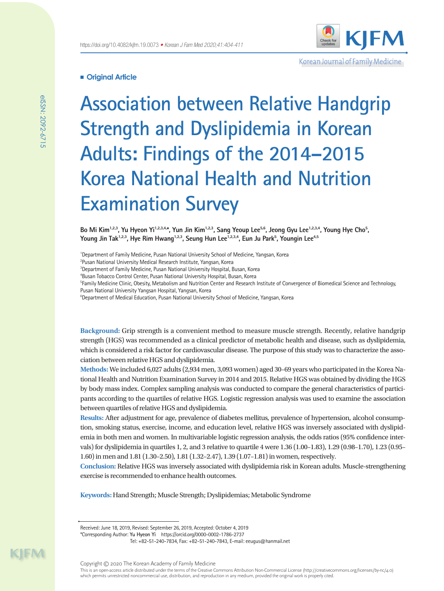

Korean Journal of Family Medicine

# **Original Article**

**Association between Relative Handgrip Strength and Dyslipidemia in Korean Adults: Findings of the 2014–2015 Korea National Health and Nutrition Examination Survey**

Bo Mi Kim<sup>1,2,3</sup>, Yu Hyeon Yi<sup>1,2,3,4</sup>\*, Yun Jin Kim<sup>1,2,3</sup>, Sang Yeoup Lee<sup>5,6</sup>, Jeong Gyu Lee<sup>1,2,3,4</sup>, Young Hye Cho<sup>5</sup>, Young Jin Tak<sup>1,2,3</sup>, Hye Rim Hwang<sup>1,2,3</sup>, Seung Hun Lee<sup>1,2,3,4</sup>, Eun Ju Park<sup>5</sup>, Youngin Lee<sup>4,5</sup>

<sup>1</sup>Department of Family Medicine, Pusan National University School of Medicine, Yangsan, Korea

2 Pusan National University Medical Research Institute, Yangsan, Korea

3 Department of Family Medicine, Pusan National University Hospital, Busan, Korea

4 Busan Tobacco Control Center, Pusan National University Hospital, Busan, Korea

**Framily Medicine Clinic, Obesity, Metabolism and Nutrition Center and Research Institute of Convergence of Biomedical Science and Technology,** Pusan National University Yangsan Hospital, Yangsan, Korea

<sup>6</sup>Department of Medical Education, Pusan National University School of Medicine, Yangsan, Korea

**Background:** Grip strength is a convenient method to measure muscle strength. Recently, relative handgrip strength (HGS) was recommended as a clinical predictor of metabolic health and disease, such as dyslipidemia, which is considered a risk factor for cardiovascular disease. The purpose of this study was to characterize the association between relative HGS and dyslipidemia.

**Methods:** We included 6,027 adults (2,934 men, 3,093 women) aged 30–69 years who participated in the Korea National Health and Nutrition Examination Survey in 2014 and 2015. Relative HGS was obtained by dividing the HGS by body mass index. Complex sampling analysis was conducted to compare the general characteristics of participants according to the quartiles of relative HGS. Logistic regression analysis was used to examine the association between quartiles of relative HGS and dyslipidemia.

**Results:** After adjustment for age, prevalence of diabetes mellitus, prevalence of hypertension, alcohol consumption, smoking status, exercise, income, and education level, relative HGS was inversely associated with dyslipidemia in both men and women. In multivariable logistic regression analysis, the odds ratios (95% confidence intervals) for dyslipidemia in quartiles 1, 2, and 3 relative to quartile 4 were 1.36 (1.00–1.83), 1.29 (0.98–1.70), 1.23 (0.95– 1.60) in men and 1.81 (1.30–2.50), 1.81 (1.32–2.47), 1.39 (1.07–1.81) in women, respectively.

**Conclusion:** Relative HGS was inversely associated with dyslipidemia risk in Korean adults. Muscle-strengthening exercise is recommended to enhance health outcomes.

**Keywords:** Hand Strength; Muscle Strength; Dyslipidemias; Metabolic Syndrome

Tel: +82-51-240-7834, Fax: +82-51-240-7843, E-mail: eeugus@hanmail.net

Received: June 18, 2019, Revised: September 26, 2019, Accepted: October 4, 2019

<sup>\*</sup>Corresponding Author: **Yu Hyeon Yi** https://orcid.org/0000-0002-1786-2737

This is an open-access article distributed under the terms of the Creative Commons Attribution Non-Commercial License (http://creativecommons.org/licenses/by-nc/4.0) which permits unrestricted noncommercial use, distribution, and reproduction in any medium, provided the original work is properly cited.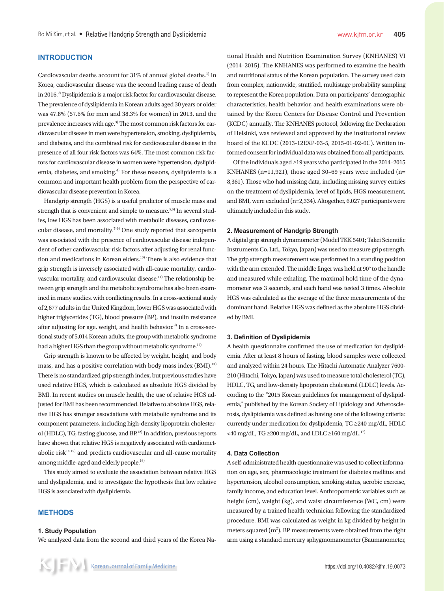# **INTRODUCTION**

Cardiovascular deaths account for 31% of annual global deaths.<sup>1)</sup> In Korea, cardiovascular disease was the second leading cause of death in 2016.<sup>2)</sup> Dyslipidemia is a major risk factor for cardiovascular disease. The prevalence of dyslipidemia in Korean adults aged 30 years or older was 47.8% (57.6% for men and 38.3% for women) in 2013, and the prevalence increases with age.3) The most common risk factors for cardiovascular disease in men were hypertension, smoking, dyslipidemia, and diabetes, and the combined risk for cardiovascular disease in the presence of all four risk factors was 64%. The most common risk factors for cardiovascular disease in women were hypertension, dyslipidemia, diabetes, and smoking.<sup>4)</sup> For these reasons, dyslipidemia is a common and important health problem from the perspective of cardiovascular disease prevention in Korea.

Handgrip strength (HGS) is a useful predictor of muscle mass and strength that is convenient and simple to measure.<sup>5,6)</sup> In several studies, low HGS has been associated with metabolic diseases, cardiovascular disease, and mortality.7-9) One study reported that sarcopenia was associated with the presence of cardiovascular disease independent of other cardiovascular risk factors after adjusting for renal function and medications in Korean elders.<sup>10)</sup> There is also evidence that grip strength is inversely associated with all-cause mortality, cardiovascular mortality, and cardiovascular disease.11) The relationship between grip strength and the metabolic syndrome has also been examined in many studies, with conflicting results. In a cross-sectional study of 2,677 adults in the United Kingdom, lower HGS was associated with higher triglycerides (TG), blood pressure (BP), and insulin resistance after adjusting for age, weight, and health behavior. $9$  In a cross-sectional study of 5,014 Korean adults, the group with metabolic syndrome had a higher HGS than the group without metabolic syndrome.<sup>12)</sup>

Grip strength is known to be affected by weight, height, and body mass, and has a positive correlation with body mass index (BMI).<sup>13)</sup> There is no standardized grip strength index, but previous studies have used relative HGS, which is calculated as absolute HGS divided by BMI. In recent studies on muscle health, the use of relative HGS adjusted for BMI has been recommended. Relative to absolute HGS, relative HGS has stronger associations with metabolic syndrome and its component parameters, including high-density lipoprotein cholesterol (HDLC), TG, fasting glucose, and BP.12) In addition, previous reports have shown that relative HGS is negatively associated with cardiometabolic ris $k^{14,15}$ ) and predicts cardiovascular and all-cause mortality among middle-aged and elderly people.<sup>16)</sup>

This study aimed to evaluate the association between relative HGS and dyslipidemia, and to investigate the hypothesis that low relative HGS is associated with dyslipidemia.

## **METHODS**

#### **1. Study Population**

We analyzed data from the second and third years of the Korea Na-

tional Health and Nutrition Examination Survey (KNHANES) VI (2014–2015). The KNHANES was performed to examine the health and nutritional status of the Korean population. The survey used data from complex, nationwide, stratified, multistage probability sampling to represent the Korea population. Data on participants' demographic characteristics, health behavior, and health examinations were obtained by the Korea Centers for Disease Control and Prevention (KCDC) annually. The KNHANES protocol, following the Declaration of Helsinki, was reviewed and approved by the institutional review board of the KCDC (2013-12EXP-03-5, 2015-01-02-6C). Written informed consent for individual data was obtained from all participants.

Of the individuals aged ≥19 years who participated in the 2014–2015 KNHANES (n=11,921), those aged 30–69 years were included (n= 8,361). Those who had missing data, including missing survey entries on the treatment of dyslipidemia, level of lipids, HGS measurement, and BMI, were excluded (n=2,334). Altogether, 6,027 participants were ultimately included in this study.

## **2. Measurement of Handgrip Strength**

A digital grip strength dynamometer (Model TKK 5401; Takei Scientific Instruments Co. Ltd., Tokyo, Japan) was used to measure grip strength. The grip strength measurement was performed in a standing position with the arm extended. The middle finger was held at 90° to the handle and measured while exhaling. The maximal hold time of the dynamometer was 3 seconds, and each hand was tested 3 times. Absolute HGS was calculated as the average of the three measurements of the dominant hand. Relative HGS was defined as the absolute HGS divided by BMI.

#### **3. Definition of Dyslipidemia**

A health questionnaire confirmed the use of medication for dyslipidemia. After at least 8 hours of fasting, blood samples were collected and analyzed within 24 hours. The Hitachi Automatic Analyzer 7600- 210 (Hitachi, Tokyo, Japan) was used to measure total cholesterol (TC), HDLC, TG, and low-density lipoprotein cholesterol (LDLC) levels. According to the "2015 Korean guidelines for management of dyslipidemia," published by the Korean Society of Lipidology and Atherosclerosis, dyslipidemia was defined as having one of the following criteria: currently under medication for dyslipidemia, TC ≥240 mg/dL, HDLC <40 mg/dL, TG  $\geq$ 200 mg/dL, and LDLC  $\geq$ 160 mg/dL,  $^{17}$ )

#### **4. Data Collection**

A self-administrated health questionnaire was used to collect information on age, sex, pharmacologic treatment for diabetes mellitus and hypertension, alcohol consumption, smoking status, aerobic exercise, family income, and education level. Anthropometric variables such as height (cm), weight (kg), and waist circumference (WC, cm) were measured by a trained health technician following the standardized procedure. BMI was calculated as weight in kg divided by height in meters squared  $(m^2)$ . BP measurements were obtained from the right arm using a standard mercury sphygmomanometer (Baumanometer,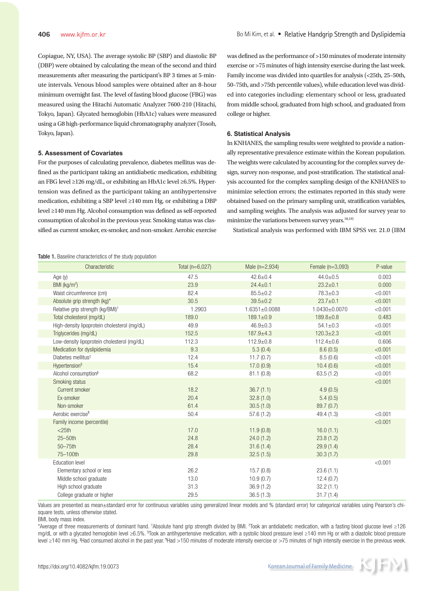Copiague, NY, USA). The average systolic BP (SBP) and diastolic BP (DBP) were obtained by calculating the mean of the second and third measurements after measuring the participant's BP 3 times at 5-minute intervals. Venous blood samples were obtained after an 8-hour minimum overnight fast. The level of fasting blood glucose (FBG) was measured using the Hitachi Automatic Analyzer 7600-210 (Hitachi, Tokyo, Japan). Glycated hemoglobin (HbA1c) values were measured using a G8 high-performance liquid chromatography analyzer (Tosoh, Tokyo, Japan).

#### **5. Assessment of Covariates**

For the purposes of calculating prevalence, diabetes mellitus was defined as the participant taking an antidiabetic medication, exhibiting an FBG level ≥126 mg/dL, or exhibiting an HbA1c level ≥6.5%. Hypertension was defined as the participant taking an antihypertensive medication, exhibiting a SBP level ≥140 mm Hg, or exhibiting a DBP level ≥140 mm Hg. Alcohol consumption was defined as self-reported consumption of alcohol in the previous year. Smoking status was classified as current smoker, ex-smoker, and non-smoker. Aerobic exercise was defined as the performance of >150 minutes of moderate intensity exercise or >75 minutes of high intensity exercise during the last week. Family income was divided into quartiles for analysis (<25th, 25–50th, 50–75th, and >75th percentile values), while education level was divided into categories including: elementary school or less, graduated from middle school, graduated from high school, and graduated from college or higher.

## **6. Statistical Analysis**

In KNHANES, the sampling results were weighted to provide a nationally representative prevalence estimate within the Korean population. The weights were calculated by accounting for the complex survey design, survey non-response, and post-stratification. The statistical analysis accounted for the complex sampling design of the KNHANES to minimize selection errors; the estimates reported in this study were obtained based on the primary sampling unit, stratification variables, and sampling weights. The analysis was adjusted for survey year to minimize the variations between survey years.<sup>18,19)</sup>

Statistical analysis was performed with IBM SPSS ver. 21.0 (IBM

#### Table 1. Baseline characteristics of the study population

| Characteristic                               | Total $(n=6,027)$ | Male $(n=2,934)$ | Female $(n=3,093)$ | P-value |
|----------------------------------------------|-------------------|------------------|--------------------|---------|
| Age (y)                                      | 47.5              | $42.6 \pm 0.4$   | $44.0 \pm 0.5$     | 0.003   |
| BMI (kg/m <sup>2</sup> )                     | 23.9              | $24.4 \pm 0.1$   | $23.2 \pm 0.1$     | 0.000   |
| Waist circumference (cm)                     | 82.4              | $85.5 \pm 0.2$   | $78.3 \pm 0.3$     | < 0.001 |
| Absolute grip strength (kg)*                 | 30.5              | $39.5 \pm 0.2$   | $23.7 + 0.1$       | < 0.001 |
| Relative grip strength (kg/BMI) <sup>+</sup> | 1.2903            | 1.6351±0.0088    | 1.0430±0.0070      | < 0.001 |
| Total cholesterol (mg/dL)                    | 189.0             | $189.1 \pm 0.9$  | $189.8 + 0.8$      | 0.483   |
| High-density lipoprotein cholesterol (mg/dL) | 49.9              | $46.9 \pm 0.3$   | $54.1 \pm 0.3$     | < 0.001 |
| Triglycerides (mg/dL)                        | 152.5             | $187.9 + 4.3$    | $120.3 \pm 2.3$    | < 0.001 |
| Low-density lipoprotein cholesterol (mg/dL)  | 112.3             | $112.9 + 0.8$    | $112.4 \pm 0.6$    | 0.606   |
| Medication for dyslipidemia                  | 9.3               | 5.3(0.4)         | 8.6(0.5)           | < 0.001 |
| Diabetes mellitus <sup>#</sup>               | 12.4              | 11.7(0.7)        | 8.5(0.6)           | < 0.001 |
| Hypertension <sup>§</sup>                    | 15.4              | 17.0(0.9)        | 10.4(0.6)          | < 0.001 |
| Alcohol consumption <sup>II</sup>            | 68.2              | 81.1(0.8)        | 63.5(1.2)          | < 0.001 |
| Smoking status                               |                   |                  |                    | < 0.001 |
| Current smoker                               | 18.2              | 36.7(1.1)        | 4.9(0.5)           |         |
| Ex-smoker                                    | 20.4              | 32.8(1.0)        | 5.4(0.5)           |         |
| Non-smoker                                   | 61.4              | 30.5(1.0)        | 89.7 (0.7)         |         |
| Aerobic exercise <sup>1</sup>                | 50.4              | 57.6(1.2)        | 49.4(1.3)          | < 0.001 |
| Family income (percentile)                   |                   |                  |                    | < 0.001 |
| $<$ 25th                                     | 17.0              | 11.9(0.8)        | 16.0(1.1)          |         |
| 25-50th                                      | 24.8              | 24.0(1.2)        | 23.8(1.2)          |         |
| 50-75th                                      | 28.4              | 31.6(1.4)        | 29.9(1.4)          |         |
| 75-100th                                     | 29.8              | 32.5(1.5)        | 30.3(1.7)          |         |
| <b>Education level</b>                       |                   |                  |                    | < 0.001 |
| Elementary school or less                    | 26.2              | 15.7(0.8)        | 23.6(1.1)          |         |
| Middle school graduate                       | 13.0              | 10.9(0.7)        | 12.4(0.7)          |         |
| High school graduate                         | 31.3              | 36.9(1.2)        | 32.2(1.1)          |         |
| College graduate or higher                   | 29.5              | 36.5(1.3)        | 31.7(1.4)          |         |

Values are presented as mean±standard error for continuous variables using generalized linear models and % (standard error) for categorical variables using Pearson's chisquare tests, unless otherwise stated.

BMI, body mass index.

\*Average of three measurements of dominant hand. †Absolute hand grip strength divided by BMI. ‡Took an antidiabetic medication, with a fasting blood glucose level ≥126 mg/dL or with a glycated hemoglobin level ≥6.5%. <sup>§</sup>Took an antihypertensive medication, with a systolic blood pressure level ≥140 mm Hg or with a diastolic blood pressure level ≥140 mm Hg. <sup>I</sup>Had consumed alcohol in the past year. <sup>1</sup>Had >150 minutes of moderate intensity exercise or >75 minutes of high intensity exercise in the previous week.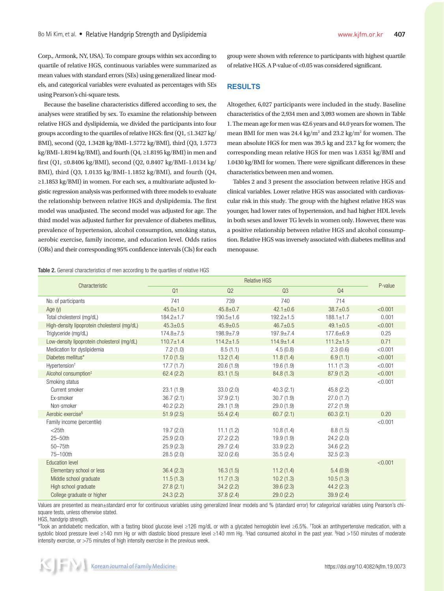Corp., Armonk, NY, USA). To compare groups within sex according to quartile of relative HGS, continuous variables were summarized as mean values with standard errors (SEs) using generalized linear models, and categorical variables were evaluated as percentages with SEs using Pearson's chi-square tests.

Because the baseline characteristics differed according to sex, the analyses were stratified by sex. To examine the relationship between relative HGS and dyslipidemia, we divided the participants into four groups according to the quartiles of relative HGS: first  $(Q1, \leq 1.3427 \text{ kg})$ BMI), second (Q2, 1.3428 kg/BMI–1.5772 kg/BMI), third (Q3, 1.5773 kg/BMI–1.8194 kg/BMI), and fourth (Q4, ≥1.8195 kg/BMI) in men and first (Q1, ≤0.8406 kg/BMI), second (Q2, 0.8407 kg/BMI–1.0134 kg/ BMI), third (Q3, 1.0135 kg/BMI–1.1852 kg/BMI), and fourth (Q4, ≥1.1853 kg/BMI) in women. For each sex, a multivariate adjusted logistic regression analysis was performed with three models to evaluate the relationship between relative HGS and dyslipidemia. The first model was unadjusted. The second model was adjusted for age. The third model was adjusted further for prevalence of diabetes mellitus, prevalence of hypertension, alcohol consumption, smoking status, aerobic exercise, family income, and education level. Odds ratios (ORs) and their corresponding 95% confidence intervals (CIs) for each

Table 2. General characteristics of men according to the quartiles of relative HGS

group were shown with reference to participants with highest quartile of relative HGS. A P-value of <0.05 was considered significant.

## **RESULTS**

Altogether, 6,027 participants were included in the study. Baseline characteristics of the 2,934 men and 3,093 women are shown in Table 1. The mean age for men was 42.6 years and 44.0 years for women. The mean BMI for men was 24.4 kg/m<sup>2</sup> and 23.2 kg/m<sup>2</sup> for women. The mean absolute HGS for men was 39.5 kg and 23.7 kg for women; the corresponding mean relative HGS for men was 1.6351 kg/BMI and 1.0430 kg/BMI for women. There were significant differences in these characteristics between men and women.

Tables 2 and 3 present the association between relative HGS and clinical variables. Lower relative HGS was associated with cardiovascular risk in this study. The group with the highest relative HGS was younger, had lower rates of hypertension, and had higher HDL levels in both sexes and lower TG levels in women only. However, there was a positive relationship between relative HGS and alcohol consumption. Relative HGS was inversely associated with diabetes mellitus and menopause.

|                                              | <b>Relative HGS</b> |                 |                 |                 |         |
|----------------------------------------------|---------------------|-----------------|-----------------|-----------------|---------|
| Characteristic                               | Q1                  | Q2              | Q <sub>3</sub>  | Q4              | P-value |
| No. of participants                          | 741                 | 739             | 740             | 714             |         |
| Age $(y)$                                    | $45.0 \pm 1.0$      | $45.8 \pm 0.7$  | $42.1 \pm 0.6$  | $38.7 \pm 0.5$  | < 0.001 |
| Total cholesterol (mg/dL)                    | $184.2 \pm 1.7$     | $190.5 + 1.6$   | $192.2 \pm 1.5$ | $188.1 \pm 1.7$ | 0.001   |
| High-density lipoprotein cholesterol (mg/dL) | $45.3 \pm 0.5$      | $45.9 \pm 0.5$  | $46.7 \pm 0.5$  | $49.1 \pm 0.5$  | < 0.001 |
| Triglyceride (mg/dL)                         | $174.8 \pm 7.5$     | 198.9±7.9       | $197.9 + 7.4$   | 177.6±6.9       | 0.25    |
| Low-density lipoprotein cholesterol (mg/dL)  | $110.7 \pm 1.4$     | $114.2 \pm 1.5$ | $114.9 \pm 1.4$ | $111.2 \pm 1.5$ | 0.71    |
| Medication for dyslipidemia                  | 7.2(1.0)            | 8.5(1.1)        | 4.5(0.8)        | 2.3(0.6)        | < 0.001 |
| Diabetes mellitus*                           | 17.0(1.5)           | 13.2(1.4)       | 11.8(1.4)       | 6.9(1.1)        | < 0.001 |
| Hypertension <sup>+</sup>                    | 17.7(1.7)           | 20.6(1.9)       | 19.6(1.9)       | 11.1(1.3)       | < 0.001 |
| Alcohol consumption <sup>#</sup>             | 62.4(2.2)           | 83.1(1.5)       | 84.8 (1.3)      | 87.9(1.2)       | < 0.001 |
| Smoking status                               |                     |                 |                 |                 | < 0.001 |
| Current smoker                               | 23.1(1.9)           | 33.0(2.0)       | 40.3(2.1)       | 45.8(2.2)       |         |
| Ex-smoker                                    | 36.7(2.1)           | 37.9(2.1)       | 30.7(1.9)       | 27.0(1.7)       |         |
| Non-smoker                                   | 40.2(2.2)           | 29.1(1.9)       | 29.0(1.9)       | 27.2(1.9)       |         |
| Aerobic exercise <sup>§</sup>                | 51.9(2.5)           | 55.4(2.4)       | 60.7(2.1)       | 60.3(2.1)       | 0.20    |
| Family income (percentile)                   |                     |                 |                 |                 | < 0.001 |
| $<$ 25th                                     | 19.7(2.0)           | 11.1(1.2)       | 10.8(1.4)       | 8.8(1.5)        |         |
| 25-50th                                      | 25.9(2.0)           | 27.2(2.2)       | 19.9(1.9)       | 24.2(2.0)       |         |
| 50-75th                                      | 25.9(2.3)           | 29.7(2.4)       | 33.9 (2.2)      | 34.6 (2.2)      |         |
| 75-100th                                     | 28.5(2.0)           | 32.0(2.6)       | 35.5(2.4)       | 32.5(2.3)       |         |
| <b>Education level</b>                       |                     |                 |                 |                 | < 0.001 |
| Elementary school or less                    | 36.4(2.3)           | 16.3(1.5)       | 11.2(1.4)       | 5.4(0.9)        |         |
| Middle school graduate                       | 11.5(1.3)           | 11.7(1.3)       | 10.2(1.3)       | 10.5(1.3)       |         |
| High school graduate                         | 27.8(2.1)           | 34.2(2.2)       | 39.6(2.3)       | 44.2(2.3)       |         |
| College graduate or higher                   | 24.3(2.2)           | 37.8(2.4)       | 29.0(2.2)       | 39.9(2.4)       |         |

Values are presented as mean±standard error for continuous variables using generalized linear models and % (standard error) for categorical variables using Pearson's chisquare tests, unless otherwise stated.

HGS, handgrip strength.

\*Took an antidiabetic medication, with a fasting blood glucose level ≥126 mg/dL or with a glycated hemoglobin level ≥6.5%. † Took an antihypertensive medication, with a systolic blood pressure level ≥140 mm Hg or with diastolic blood pressure level ≥140 mm Hg. <sup>‡</sup>Had consumed alcohol in the past year. <sup>§</sup>Had >150 minutes of moderate intensity exercise, or >75 minutes of high intensity exercise in the previous week.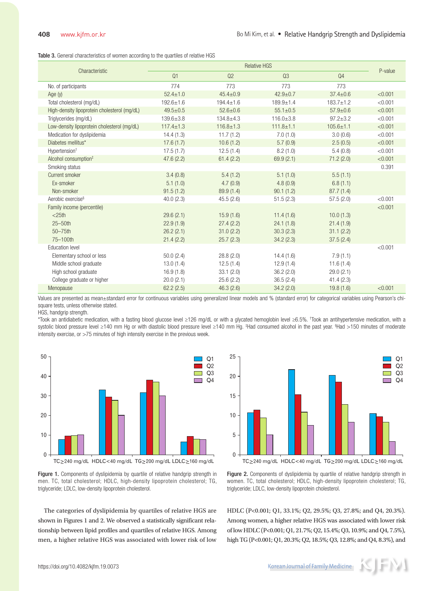Table 3. General characteristics of women according to the quartiles of relative HGS

|                                              | <b>Relative HGS</b> |                 |                 |                 |         |
|----------------------------------------------|---------------------|-----------------|-----------------|-----------------|---------|
| Characteristic                               | Q1                  | Q2              | Q3              | Q <sub>4</sub>  | P-value |
| No. of participants                          | 774                 | 773             | 773             | 773             |         |
| Age $(y)$                                    | $52.4 \pm 1.0$      | $45.4 \pm 0.9$  | $42.9 \pm 0.7$  | $37.4 \pm 0.6$  | < 0.001 |
| Total cholesterol (mg/dL)                    | $192.6 \pm 1.6$     | $194.4 \pm 1.6$ | $189.9 \pm 1.4$ | $183.7 \pm 1.2$ | < 0.001 |
| High-density lipoprotein cholesterol (mg/dL) | $49.5 \pm 0.5$      | $52.6 \pm 0.6$  | $55.1 \pm 0.5$  | $57.9 \pm 0.6$  | < 0.001 |
| Triglycerides (mg/dL)                        | $139.6 \pm 3.8$     | $134.8 + 4.3$   | $116.0 \pm 3.8$ | $97.2 \pm 3.2$  | < 0.001 |
| Low-density lipoprotein cholesterol (mg/dL)  | $117.4 \pm 1.3$     | $116.8 \pm 1.3$ | $111.8 \pm 1.1$ | $105.6 \pm 1.1$ | < 0.001 |
| Medication for dyslipidemia                  | 14.4(1.3)           | 11.7(1.2)       | 7.0(1.0)        | 3.0(0.6)        | < 0.001 |
| Diabetes mellitus*                           | 17.6(1.7)           | 10.6(1.2)       | 5.7(0.9)        | 2.5(0.5)        | < 0.001 |
| Hypertension <sup>+</sup>                    | 17.5(1.7)           | 12.5(1.4)       | 8.2(1.0)        | 5.4(0.8)        | < 0.001 |
| Alcohol consumption <sup>#</sup>             | 47.6(2.2)           | 61.4(2.2)       | 69.9(2.1)       | 71.2(2.0)       | < 0.001 |
| Smoking status                               |                     |                 |                 |                 | 0.391   |
| Current smoker                               | 3.4(0.8)            | 5.4(1.2)        | 5.1(1.0)        | 5.5(1.1)        |         |
| Ex-smoker                                    | 5.1(1.0)            | 4.7(0.9)        | 4.8(0.9)        | 6.8(1.1)        |         |
| Non-smoker                                   | 91.5(1.2)           | 89.9 (1.4)      | 90.1(1.2)       | 87.7(1.4)       |         |
| Aerobic exercise <sup>§</sup>                | 40.0(2.3)           | 45.5(2.6)       | 51.5(2.3)       | 57.5(2.0)       | < 0.001 |
| Family income (percentile)                   |                     |                 |                 |                 | < 0.001 |
| $<$ 25th                                     | 29.6(2.1)           | 15.9(1.6)       | 11.4(1.6)       | 10.0(1.3)       |         |
| $25 - 50$ th                                 | 22.9(1.9)           | 27.4(2.2)       | 24.1(1.8)       | 21.4(1.9)       |         |
| $50 - 75$ th                                 | 26.2(2.1)           | 31.0(2.2)       | 30.3(2.3)       | 31.1(2.2)       |         |
| 75-100th                                     | 21.4(2.2)           | 25.7(2.3)       | 34.2(2.3)       | 37.5(2.4)       |         |
| <b>Education level</b>                       |                     |                 |                 |                 | < 0.001 |
| Elementary school or less                    | 50.0(2.4)           | 28.8(2.0)       | 14.4(1.6)       | 7.9(1.1)        |         |
| Middle school graduate                       | 13.0(1.4)           | 12.5(1.4)       | 12.9(1.4)       | 11.6(1.4)       |         |
| High school graduate                         | 16.9(1.8)           | 33.1(2.0)       | 36.2(2.0)       | 29.0(2.1)       |         |
| College graduate or higher                   | 20.0(2.1)           | 25.6(2.2)       | 36.5(2.4)       | 41.4(2.3)       |         |
| Menopause                                    | 62.2(2.5)           | 46.3(2.6)       | 34.2(2.0)       | 19.8(1.6)       | < 0.001 |

Values are presented as mean±standard error for continuous variables using generalized linear models and % (standard error) for categorical variables using Pearson's chisquare tests, unless otherwise stated.

HGS, handgrip strength.

\*Took an antidiabetic medication, with a fasting blood glucose level ≥126 mg/dL or with a glycated hemoglobin level ≥6.5%. † Took an antihypertensive medication, with a systolic blood pressure level ≥140 mm Hg or with diastolic blood pressure level ≥140 mm Hg. ‡Had consumed alcohol in the past year. <sup>§</sup>Had >150 minutes of moderate intensity exercise, or >75 minutes of high intensity exercise in the previous week.

25



TC>240 mg/dL HDLC<40 mg/dL TG>200 mg/dL LDLC>160 mg/dL 20 15 10 5 0 Q2 Q3  $O<sub>4</sub>$ 

Q1



The categories of dyslipidemia by quartiles of relative HGS are shown in Figures 1 and 2. We observed a statistically significant relationship between lipid profiles and quartiles of relative HGS. Among men, a higher relative HGS was associated with lower risk of low

Figure 2. Components of dyslipidemia by quartile of relative handgrip strength in women. TC, total cholesterol; HDLC, high-density lipoprotein cholesterol; TG, triglyceride; LDLC, low-density lipoprotein cholesterol.

HDLC (P<0.001; Q1, 33.1%; Q2, 29.5%; Q3, 27.8%; and Q4, 20.3%). Among women, a higher relative HGS was associated with lower risk of low HDLC (P<0.001; Q1, 21.7%; Q2, 15.4%; Q3, 10.9%; and Q4, 7.5%), high TG (P<0.001; Q1, 20.3%; Q2, 18.5%; Q3, 12.8%; and Q4, 8.3%), and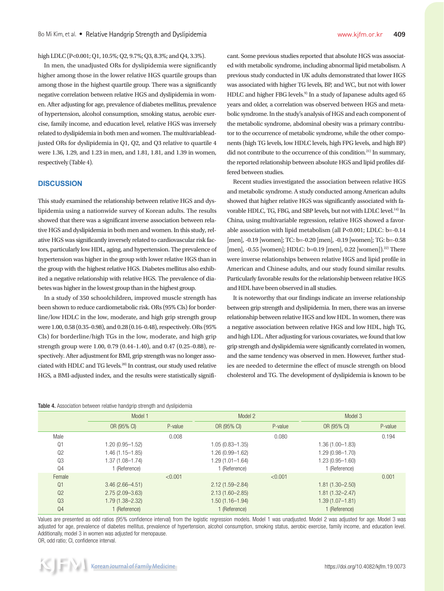high LDLC (P<0.001; Q1, 10.5%; Q2, 9.7%; Q3, 8.3%; and Q4, 3.3%).

In men, the unadjusted ORs for dyslipidemia were significantly higher among those in the lower relative HGS quartile groups than among those in the highest quartile group. There was a significantly negative correlation between relative HGS and dyslipidemia in women. After adjusting for age, prevalence of diabetes mellitus, prevalence of hypertension, alcohol consumption, smoking status, aerobic exercise, family income, and education level, relative HGS was inversely related to dyslipidemia in both men and women. The multivariableadjusted ORs for dyslipidemia in Q1, Q2, and Q3 relative to quartile 4 were 1.36, 1.29, and 1.23 in men, and 1.81, 1.81, and 1.39 in women, respectively (Table 4).

# **DISCUSSION**

This study examined the relationship between relative HGS and dyslipidemia using a nationwide survey of Korean adults. The results showed that there was a significant inverse association between relative HGS and dyslipidemia in both men and women. In this study, relative HGS was significantly inversely related to cardiovascular risk factors, particularly low HDL, aging, and hypertension. The prevalence of hypertension was higher in the group with lower relative HGS than in the group with the highest relative HGS. Diabetes mellitus also exhibited a negative relationship with relative HGS. The prevalence of diabetes was higher in the lowest group than in the highest group.

In a study of 350 schoolchildren, improved muscle strength has been shown to reduce cardiometabolic risk. ORs (95% CIs) for borderline/low HDLC in the low, moderate, and high grip strength group were 1.00, 0.58 (0.35–0.98), and 0.28 (0.16–0.48), respectively. ORs (95% CIs) for borderline/high TGs in the low, moderate, and high grip strength group were 1.00, 0.79 (0.44–1.40), and 0.47 (0.25–0.88), respectively. After adjustment for BMI, grip strength was no longer associated with HDLC and TG levels.20) In contrast, our study used relative HGS, a BMI-adjusted index, and the results were statistically signifi-

|  | Table 4. Association between relative handgrip strength and dyslipidemia |  |  |  |  |  |  |  |
|--|--------------------------------------------------------------------------|--|--|--|--|--|--|--|
|--|--------------------------------------------------------------------------|--|--|--|--|--|--|--|

cant. Some previous studies reported that absolute HGS was associated with metabolic syndrome, including abnormal lipid metabolism. A previous study conducted in UK adults demonstrated that lower HGS was associated with higher TG levels, BP, and WC, but not with lower HDLC and higher FBG levels.<sup>9)</sup> In a study of Japanese adults aged 65 years and older, a correlation was observed between HGS and metabolic syndrome. In the study's analysis of HGS and each component of the metabolic syndrome, abdominal obesity was a primary contributor to the occurrence of metabolic syndrome, while the other components (high TG levels, low HDLC levels, high FPG levels, and high BP) did not contribute to the occurrence of this condition. $^{21}$  In summary, the reported relationship between absolute HGS and lipid profiles differed between studies.

Recent studies investigated the association between relative HGS and metabolic syndrome. A study conducted among American adults showed that higher relative HGS was significantly associated with favorable HDLC, TG, FBG, and SBP levels, but not with LDLC level.<sup>14)</sup> In China, using multivariable regression, relative HGS showed a favorable association with lipid metabolism (all P<0.001; LDLC: b=-0.14 [men], -0.19 [women]; TC: b=-0.20 [men], -0.19 [women]; TG: b=-0.58 [men], -0.55 [women]; HDLC: b=0.19 [men], 0.22 [women]).<sup>22)</sup> There were inverse relationships between relative HGS and lipid profile in American and Chinese adults, and our study found similar results. Particularly favorable results for the relationship between relative HGS and HDL have been observed in all studies.

It is noteworthy that our findings indicate an inverse relationship between grip strength and dyslipidemia. In men, there was an inverse relationship between relative HGS and low HDL. In women, there was a negative association between relative HGS and low HDL, high TG, and high LDL. After adjusting for various covariates, we found that low grip strength and dyslipidemia were significantly correlated in women, and the same tendency was observed in men. However, further studies are needed to determine the effect of muscle strength on blood cholesterol and TG. The development of dyslipidemia is known to be

|                | Model 1             |         | Model 2             |         | Model 3             |         |
|----------------|---------------------|---------|---------------------|---------|---------------------|---------|
|                | OR (95% CI)         | P-value | OR (95% CI)         | P-value | OR (95% CI)         | P-value |
| Male           |                     | 0.008   |                     | 0.080   |                     | 0.194   |
| Q <sub>1</sub> | $1.20(0.95 - 1.52)$ |         | $1.05(0.83 - 1.35)$ |         | $1.36(1.00 - 1.83)$ |         |
| Q2             | $1.46(1.15 - 1.85)$ |         | 1.26 (0.99-1.62)    |         | $1.29(0.98 - 1.70)$ |         |
| Q3             | $1.37(1.08 - 1.74)$ |         | 1.29 (1.01-1.64)    |         | $1.23(0.95 - 1.60)$ |         |
| Q <sub>4</sub> | 1 (Reference)       |         | 1 (Reference)       |         | 1 (Reference)       |         |
| Female         |                     | < 0.001 |                     | < 0.001 |                     | 0.001   |
| Q <sub>1</sub> | $3.46(2.66 - 4.51)$ |         | $2.12(1.59 - 2.84)$ |         | $1.81(1.30 - 2.50)$ |         |
| Q2             | $2.75(2.09 - 3.63)$ |         | $2.13(1.60 - 2.85)$ |         | $1.81(1.32 - 2.47)$ |         |
| Q <sub>3</sub> | $1.79(1.38 - 2.32)$ |         | 1.50 (1.16-1.94)    |         | $1.39(1.07 - 1.81)$ |         |
| Q <sub>4</sub> | 1 (Reference)       |         | 1 (Reference)       |         | 1 (Reference)       |         |

Values are presented as odd ratios (95% confidence interval) from the logistic regression models. Model 1 was unadjusted. Model 2 was adjusted for age. Model 3 was adjusted for age, prevalence of diabetes mellitus, prevalence of hypertension, alcohol consumption, smoking status, aerobic exercise, family income, and education level. Additionally, model 3 in women was adjusted for menopause. OR, odd ratio; CI, confidence interval.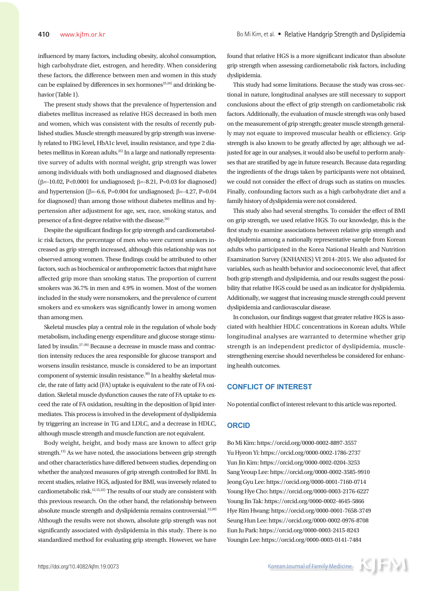influenced by many factors, including obesity, alcohol consumption, high carbohydrate diet, estrogen, and heredity. When considering these factors, the difference between men and women in this study can be explained by differences in sex hormones<sup>23,24)</sup> and drinking behavior (Table 1).

The present study shows that the prevalence of hypertension and diabetes mellitus increased as relative HGS decreased in both men and women, which was consistent with the results of recently published studies. Muscle strength measured by grip strength was inversely related to FBG level, HbA1c level, insulin resistance, and type 2 diabetes mellitus in Korean adults.25) In a large and nationally representative survey of adults with normal weight, grip strength was lower among individuals with both undiagnosed and diagnosed diabetes (β=-10.02, P<0.0001 for undiagnosed; β=-8.21, P=0.03 for diagnosed) and hypertension (β=-6.6, P=0.004 for undiagnosed; β=-4.27, P=0.04 for diagnosed) than among those without diabetes mellitus and hypertension after adjustment for age, sex, race, smoking status, and presence of a first-degree relative with the disease.<sup>26)</sup>

Despite the significant findings for grip strength and cardiometabolic risk factors, the percentage of men who were current smokers increased as grip strength increased, although this relationship was not observed among women. These findings could be attributed to other factors, such as biochemical or anthropometric factors that might have affected grip more than smoking status. The proportion of current smokers was 36.7% in men and 4.9% in women. Most of the women included in the study were nonsmokers, and the prevalence of current smokers and ex-smokers was significantly lower in among women than among men.

Skeletal muscles play a central role in the regulation of whole body metabolism, including energy expenditure and glucose storage stimulated by insulin.27-29) Because a decrease in muscle mass and contraction intensity reduces the area responsible for glucose transport and worsens insulin resistance, muscle is considered to be an important component of systemic insulin resistance.<sup>30)</sup> In a healthy skeletal muscle, the rate of fatty acid (FA) uptake is equivalent to the rate of FA oxidation. Skeletal muscle dysfunction causes the rate of FA uptake to exceed the rate of FA oxidation, resulting in the deposition of lipid intermediates. This process is involved in the development of dyslipidemia by triggering an increase in TG and LDLC, and a decrease in HDLC, although muscle strength and muscle function are not equivalent.

Body weight, height, and body mass are known to affect grip strength.<sup>13)</sup> As we have noted, the associations between grip strength and other characteristics have differed between studies, depending on whether the analyzed measures of grip strength controlled for BMI. In recent studies, relative HGS, adjusted for BMI, was inversely related to cardiometabolic risk.<sup>12,15,22)</sup> The results of our study are consistent with this previous research. On the other hand, the relationship between absolute muscle strength and dyslipidemia remains controversial.<sup>12,20)</sup> Although the results were not shown, absolute grip strength was not significantly associated with dyslipidemia in this study. There is no standardized method for evaluating grip strength. However, we have found that relative HGS is a more significant indicator than absolute grip strength when assessing cardiometabolic risk factors, including dyslipidemia.

This study had some limitations. Because the study was cross-sectional in nature, longitudinal analyses are still necessary to support conclusions about the effect of grip strength on cardiometabolic risk factors. Additionally, the evaluation of muscle strength was only based on the measurement of grip strength; greater muscle strength generally may not equate to improved muscular health or efficiency. Grip strength is also known to be greatly affected by age; although we adjusted for age in our analyses, it would also be useful to perform analyses that are stratified by age in future research. Because data regarding the ingredients of the drugs taken by participants were not obtained, we could not consider the effect of drugs such as statins on muscles. Finally, confounding factors such as a high carbohydrate diet and a family history of dyslipidemia were not considered.

This study also had several strengths. To consider the effect of BMI on grip strength, we used relative HGS. To our knowledge, this is the first study to examine associations between relative grip strength and dyslipidemia among a nationally representative sample from Korean adults who participated in the Korea National Health and Nutrition Examination Survey (KNHANES) VI 2014–2015. We also adjusted for variables, such as health behavior and socioeconomic level, that affect both grip strength and dyslipidemia, and our results suggest the possibility that relative HGS could be used as an indicator for dyslipidemia. Additionally, we suggest that increasing muscle strength could prevent dyslipidemia and cardiovascular disease.

In conclusion, our findings suggest that greater relative HGS is associated with healthier HDLC concentrations in Korean adults. While longitudinal analyses are warranted to determine whether grip strength is an independent predictor of dyslipidemia, musclestrengthening exercise should nevertheless be considered for enhancing health outcomes.

# **CONFLICT OF INTEREST**

No potential conflict of interest relevant to this article was reported.

## **ORCID**

Bo Mi Kim: https://orcid.org/0000-0002-8897-3557 Yu Hyeon Yi: https://orcid.org/0000-0002-1786-2737 Yun Jin Kim: https://orcid.org/0000-0002-0204-3253 Sang Yeoup Lee: https://orcid.org/0000-0002-3585-9910 Jeong Gyu Lee: https://orcid.org/0000-0001-7160-0714 Young Hye Cho: https://orcid.org/0000-0003-2176-6227 Young Jin Tak: https://orcid.org/0000-0002-4645-5866 Hye Rim Hwang: https://orcid.org/0000-0001-7658-3749 Seung Hun Lee: https://orcid.org/0000-0002-0976-8708 Eun Ju Park: https://orcid.org/0000-0003-2415-8243 Youngin Lee: https://orcid.org/0000-0003-0141-7484